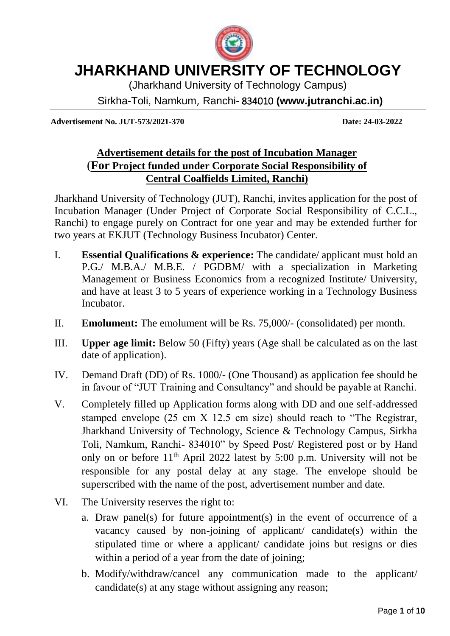

(Jharkhand University of Technology Campus)

Sirkha-Toli, Namkum, Ranchi- 834010 **(www.jutranchi.ac.in)**

**Advertisement No. JUT-573/2021-370 Date: 24-03-2022**

#### **Advertisement details for the post of Incubation Manager** (**For Project funded under Corporate Social Responsibility of Central Coalfields Limited, Ranchi)**

Jharkhand University of Technology (JUT), Ranchi, invites application for the post of Incubation Manager (Under Project of Corporate Social Responsibility of C.C.L., Ranchi) to engage purely on Contract for one year and may be extended further for two years at EKJUT (Technology Business Incubator) Center.

- I. **Essential Qualifications & experience:** The candidate/ applicant must hold an P.G./ M.B.A./ M.B.E. / PGDBM/ with a specialization in Marketing Management or Business Economics from a recognized Institute/ University, and have at least 3 to 5 years of experience working in a Technology Business Incubator.
- II. **Emolument:** The emolument will be Rs. 75,000/- (consolidated) per month.
- III. **Upper age limit:** Below 50 (Fifty) years (Age shall be calculated as on the last date of application).
- IV. Demand Draft (DD) of Rs. 1000/- (One Thousand) as application fee should be in favour of "JUT Training and Consultancy" and should be payable at Ranchi.
- V. Completely filled up Application forms along with DD and one self-addressed stamped envelope (25 cm X 12.5 cm size) should reach to "The Registrar, Jharkhand University of Technology, Science & Technology Campus, Sirkha Toli, Namkum, Ranchi- 834010" by Speed Post/ Registered post or by Hand only on or before 11th April 2022 latest by 5:00 p.m. University will not be responsible for any postal delay at any stage. The envelope should be superscribed with the name of the post, advertisement number and date.
- VI. The University reserves the right to:
	- a. Draw panel(s) for future appointment(s) in the event of occurrence of a vacancy caused by non-joining of applicant/ candidate(s) within the stipulated time or where a applicant/ candidate joins but resigns or dies within a period of a year from the date of joining;
	- b. Modify/withdraw/cancel any communication made to the applicant/ candidate(s) at any stage without assigning any reason;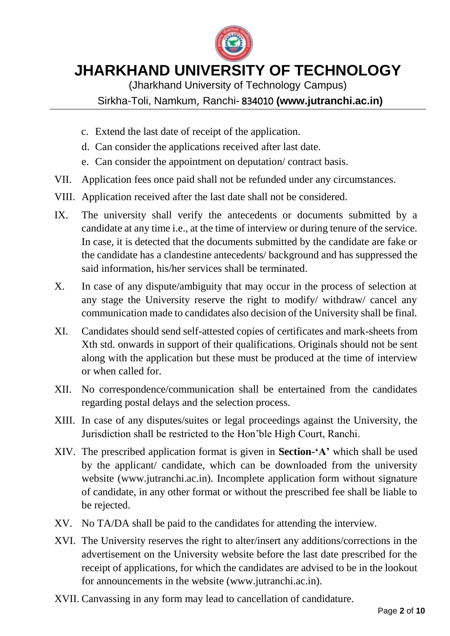

(Jharkhand University of Technology Campus)

Sirkha-Toli, Namkum, Ranchi- 834010 **(www.jutranchi.ac.in)**

- c. Extend the last date of receipt of the application.
- d. Can consider the applications received after last date.
- e. Can consider the appointment on deputation/ contract basis.
- VII. Application fees once paid shall not be refunded under any circumstances.
- VIII. Application received after the last date shall not be considered.
- IX. The university shall verify the antecedents or documents submitted by a candidate at any time i.e., at the time of interview or during tenure of the service. In case, it is detected that the documents submitted by the candidate are fake or the candidate has a clandestine antecedents/ background and has suppressed the said information, his/her services shall be terminated.
- X. In case of any dispute/ambiguity that may occur in the process of selection at any stage the University reserve the right to modify/ withdraw/ cancel any communication made to candidates also decision of the University shall be final.
- XI. Candidates should send self-attested copies of certificates and mark-sheets from Xth std. onwards in support of their qualifications. Originals should not be sent along with the application but these must be produced at the time of interview or when called for.
- XII. No correspondence/communication shall be entertained from the candidates regarding postal delays and the selection process.
- XIII. In case of any disputes/suites or legal proceedings against the University, the Jurisdiction shall be restricted to the Hon'ble High Court, Ranchi.
- XIV. The prescribed application format is given in **Section**-**'A'** which shall be used by the applicant/ candidate, which can be downloaded from the university website (www.jutranchi.ac.in). Incomplete application form without signature of candidate, in any other format or without the prescribed fee shall be liable to be rejected.
- XV. No TA/DA shall be paid to the candidates for attending the interview.
- XVI. The University reserves the right to alter/insert any additions/corrections in the advertisement on the University website before the last date prescribed for the receipt of applications, for which the candidates are advised to be in the lookout for announcements in the website (www.jutranchi.ac.in).
- XVII. Canvassing in any form may lead to cancellation of candidature.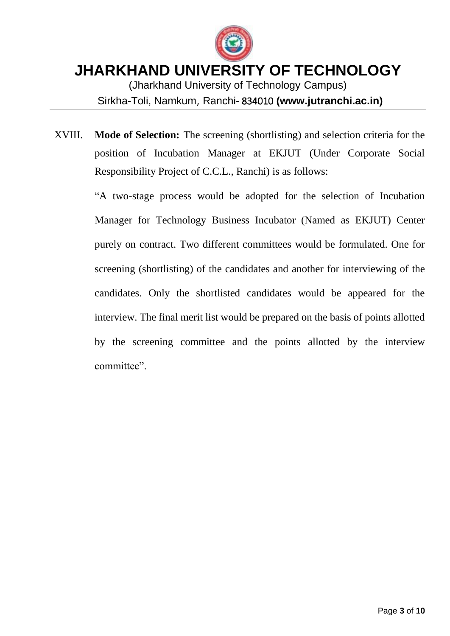

(Jharkhand University of Technology Campus) Sirkha-Toli, Namkum, Ranchi- 834010 **(www.jutranchi.ac.in)**

XVIII. **Mode of Selection:** The screening (shortlisting) and selection criteria for the position of Incubation Manager at EKJUT (Under Corporate Social Responsibility Project of C.C.L., Ranchi) is as follows:

> "A two-stage process would be adopted for the selection of Incubation Manager for Technology Business Incubator (Named as EKJUT) Center purely on contract. Two different committees would be formulated. One for screening (shortlisting) of the candidates and another for interviewing of the candidates. Only the shortlisted candidates would be appeared for the interview. The final merit list would be prepared on the basis of points allotted by the screening committee and the points allotted by the interview committee".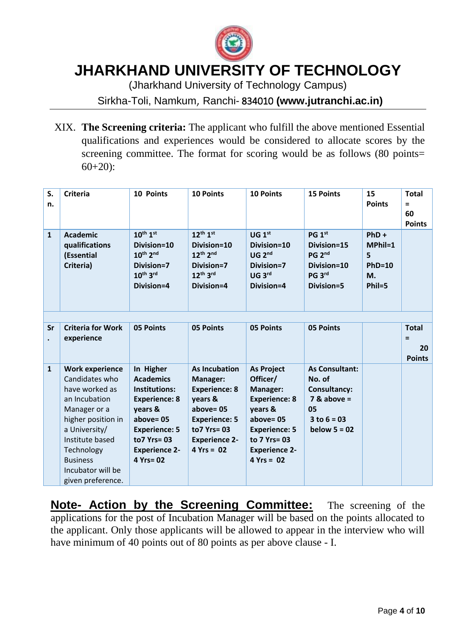

(Jharkhand University of Technology Campus)

Sirkha-Toli, Namkum, Ranchi- 834010 **(www.jutranchi.ac.in)**

XIX. **The Screening criteria:** The applicant who fulfill the above mentioned Essential qualifications and experiences would be considered to allocate scores by the screening committee. The format for scoring would be as follows (80 points= 60+20):

| S.<br>n.     | <b>Criteria</b>                                                                                                                                                                                                                  | 10 Points                                                                                                                                                                            | <b>10 Points</b>                                                                                                                                                  | <b>10 Points</b>                                                                                                                                                            | <b>15 Points</b>                                                                                                   | 15<br><b>Points</b>                                            | <b>Total</b><br>$\equiv$<br>60<br><b>Points</b> |
|--------------|----------------------------------------------------------------------------------------------------------------------------------------------------------------------------------------------------------------------------------|--------------------------------------------------------------------------------------------------------------------------------------------------------------------------------------|-------------------------------------------------------------------------------------------------------------------------------------------------------------------|-----------------------------------------------------------------------------------------------------------------------------------------------------------------------------|--------------------------------------------------------------------------------------------------------------------|----------------------------------------------------------------|-------------------------------------------------|
| $\mathbf{1}$ | <b>Academic</b><br>qualifications<br>(Essential<br>Criteria)                                                                                                                                                                     | $10^{th}$ $1^{st}$<br>Division=10<br>10th 2nd<br>Division=7<br>$10^{th}$ 3rd<br>Division=4                                                                                           | $12^{th} 1^{st}$<br>Division=10<br>12th 2nd<br>Division=7<br>12th 3rd<br>Division=4                                                                               | UG 1 <sup>st</sup><br>Division=10<br>UG 2 <sup>nd</sup><br>Division=7<br>UG <sub>3rd</sub><br>Division=4                                                                    | PG 1st<br>Division=15<br>PG <sub>2<sup>nd</sup></sub><br>Division=10<br>PG 3rd<br>Division=5                       | $PhD +$<br>$MPhil=1$<br>5<br>$PhD=10$<br><b>M.</b><br>$Phil=5$ |                                                 |
| Sr           | <b>Criteria for Work</b><br>experience                                                                                                                                                                                           | 05 Points                                                                                                                                                                            | <b>05 Points</b>                                                                                                                                                  | 05 Points                                                                                                                                                                   | <b>05 Points</b>                                                                                                   |                                                                | <b>Total</b><br>$=$<br>20<br><b>Points</b>      |
| $\mathbf{1}$ | <b>Work experience</b><br>Candidates who<br>have worked as<br>an Incubation<br>Manager or a<br>higher position in<br>a University/<br>Institute based<br>Technology<br><b>Business</b><br>Incubator will be<br>given preference. | In Higher<br><b>Academics</b><br><b>Institutions:</b><br><b>Experience: 8</b><br>years &<br>$above = 05$<br><b>Experience: 5</b><br>to7 Yrs= 03<br><b>Experience 2-</b><br>4 Yrs= 02 | <b>As Incubation</b><br>Manager:<br><b>Experience: 8</b><br>years &<br>above= $05$<br><b>Experience: 5</b><br>to7 Yrs= 03<br><b>Experience 2-</b><br>$4 Yrs = 02$ | <b>As Project</b><br>Officer/<br>Manager:<br><b>Experience: 8</b><br>years &<br>above= $05$<br><b>Experience: 5</b><br>to 7 Yrs= 03<br><b>Experience 2-</b><br>$4 Yrs = 02$ | <b>As Consultant:</b><br>No. of<br><b>Consultancy:</b><br>$7$ & above =<br>05<br>$3$ to $6 = 03$<br>below $5 = 02$ |                                                                |                                                 |

**Note- Action by the Screening Committee:** The screening of the applications for the post of Incubation Manager will be based on the points allocated to the applicant. Only those applicants will be allowed to appear in the interview who will have minimum of 40 points out of 80 points as per above clause - I.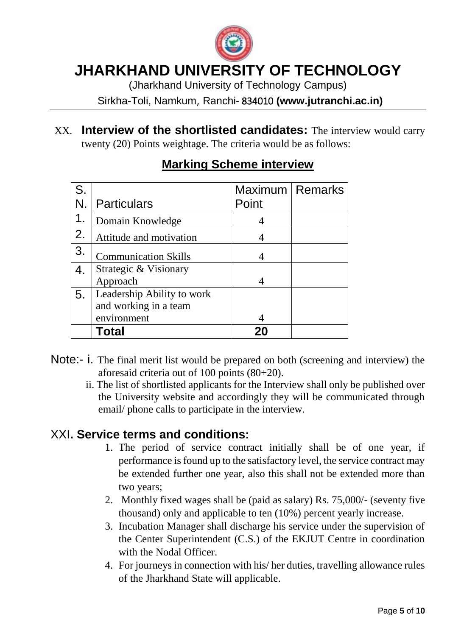

(Jharkhand University of Technology Campus)

Sirkha-Toli, Namkum, Ranchi- 834010 **(www.jutranchi.ac.in)**

XX. **Interview of the shortlisted candidates:** The interview would carry twenty (20) Points weightage. The criteria would be as follows:

| S. |                             | Maximum   Remarks |  |
|----|-----------------------------|-------------------|--|
|    | <b>Particulars</b>          | Point             |  |
| 1. | Domain Knowledge            |                   |  |
| 2. | Attitude and motivation     |                   |  |
| 3. | <b>Communication Skills</b> |                   |  |
| 4. | Strategic & Visionary       |                   |  |
|    | Approach                    |                   |  |
| 5. | Leadership Ability to work  |                   |  |
|    | and working in a team       |                   |  |
|    | environment                 |                   |  |
|    | Total                       |                   |  |

#### **Marking Scheme interview**

- Note:- i. The final merit list would be prepared on both (screening and interview) the aforesaid criteria out of 100 points (80+20).
	- ii. The list of shortlisted applicants for the Interview shall only be published over the University website and accordingly they will be communicated through email/ phone calls to participate in the interview.

#### XXI**. Service terms and conditions:**

- 1. The period of service contract initially shall be of one year, if performance is found up to the satisfactory level, the service contract may be extended further one year, also this shall not be extended more than two years;
- 2. Monthly fixed wages shall be (paid as salary) Rs. 75,000/- (seventy five thousand) only and applicable to ten (10%) percent yearly increase.
- 3. Incubation Manager shall discharge his service under the supervision of the Center Superintendent (C.S.) of the EKJUT Centre in coordination with the Nodal Officer.
- 4. For journeys in connection with his/ her duties, travelling allowance rules of the Jharkhand State will applicable.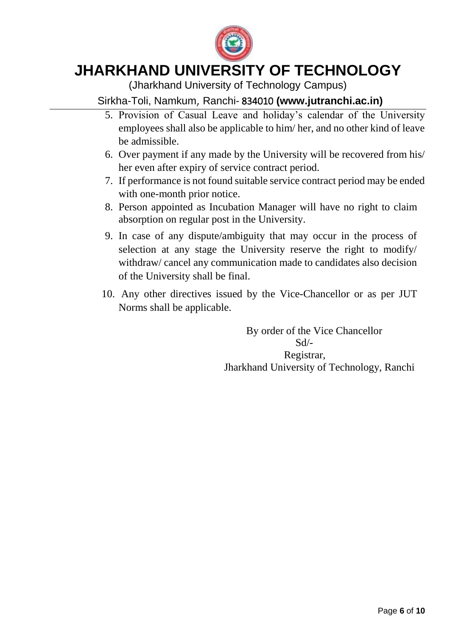

(Jharkhand University of Technology Campus)

#### Sirkha-Toli, Namkum, Ranchi- 834010 **(www.jutranchi.ac.in)**

- 5. Provision of Casual Leave and holiday's calendar of the University employees shall also be applicable to him/ her, and no other kind of leave be admissible.
- 6. Over payment if any made by the University will be recovered from his/ her even after expiry of service contract period.
- 7. If performance is not found suitable service contract period may be ended with one-month prior notice.
- 8. Person appointed as Incubation Manager will have no right to claim absorption on regular post in the University.
- 9. In case of any dispute/ambiguity that may occur in the process of selection at any stage the University reserve the right to modify/ withdraw/ cancel any communication made to candidates also decision of the University shall be final.
- 10. Any other directives issued by the Vice-Chancellor or as per JUT Norms shall be applicable.

 By order of the Vice Chancellor  $Sd$ <sup>-</sup> Registrar, Jharkhand University of Technology, Ranchi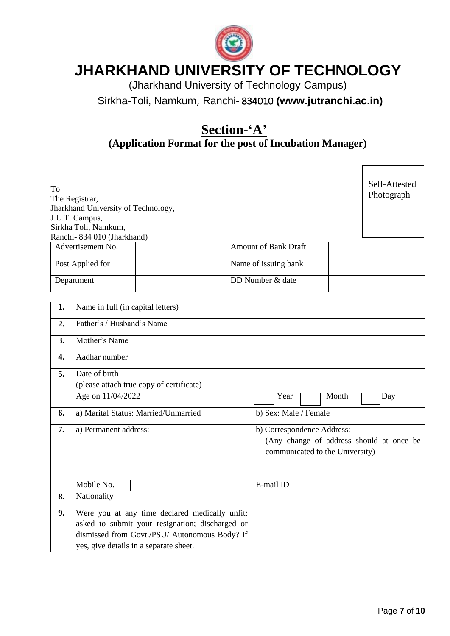

(Jharkhand University of Technology Campus)

Sirkha-Toli, Namkum, Ranchi- 834010 **(www.jutranchi.ac.in)**

## **Section-'A'**

**(Application Format for the post of Incubation Manager)**

| To<br>The Registrar,<br>Jharkhand University of Technology,<br>J.U.T. Campus,<br>Sirkha Toli, Namkum,<br>Ranchi-834 010 (Jharkhand) |                             | Self-Attested<br>Photograph |
|-------------------------------------------------------------------------------------------------------------------------------------|-----------------------------|-----------------------------|
| Advertisement No.                                                                                                                   | <b>Amount of Bank Draft</b> |                             |
| Post Applied for                                                                                                                    | Name of issuing bank        |                             |

Department DD Number & date

| 1. | Name in full (in capital letters)               |                                                                                                           |  |  |
|----|-------------------------------------------------|-----------------------------------------------------------------------------------------------------------|--|--|
| 2. | Father's / Husband's Name                       |                                                                                                           |  |  |
| 3. | Mother's Name                                   |                                                                                                           |  |  |
| 4. | Aadhar number                                   |                                                                                                           |  |  |
| 5. | Date of birth                                   |                                                                                                           |  |  |
|    | (please attach true copy of certificate)        |                                                                                                           |  |  |
|    | Age on 11/04/2022                               | Month<br>Year<br>Day                                                                                      |  |  |
| 6. | a) Marital Status: Married/Unmarried            | b) Sex: Male / Female                                                                                     |  |  |
| 7. | a) Permanent address:                           | b) Correspondence Address:<br>(Any change of address should at once be<br>communicated to the University) |  |  |
|    | Mobile No.                                      | E-mail ID                                                                                                 |  |  |
| 8. | Nationality                                     |                                                                                                           |  |  |
| 9. | Were you at any time declared medically unfit;  |                                                                                                           |  |  |
|    | asked to submit your resignation; discharged or |                                                                                                           |  |  |
|    | dismissed from Govt./PSU/ Autonomous Body? If   |                                                                                                           |  |  |
|    | yes, give details in a separate sheet.          |                                                                                                           |  |  |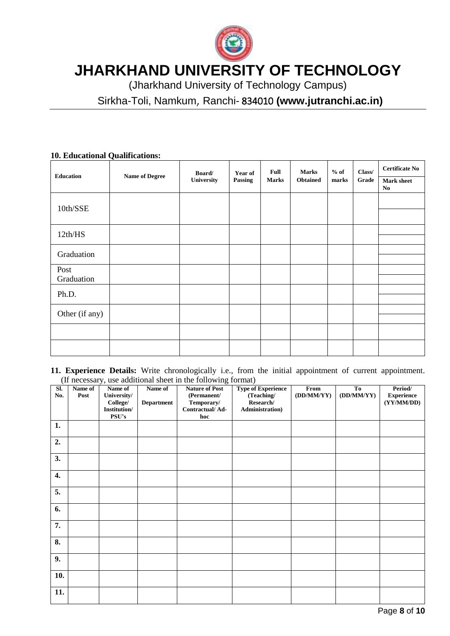

(Jharkhand University of Technology Campus)

Sirkha-Toli, Namkum, Ranchi- 834010 **(www.jutranchi.ac.in)**

| <b>Education</b>   | <b>Name of Degree</b> | Board/<br>University | Year of<br>Passing | <b>Full</b><br><b>Marks</b> | <b>Marks</b><br><b>Obtained</b> | $%$ of<br>marks | Class/<br>Grade | <b>Certificate No</b><br><b>Mark sheet</b><br>No |
|--------------------|-----------------------|----------------------|--------------------|-----------------------------|---------------------------------|-----------------|-----------------|--------------------------------------------------|
| 10th/SSE           |                       |                      |                    |                             |                                 |                 |                 |                                                  |
| 12th/HS            |                       |                      |                    |                             |                                 |                 |                 |                                                  |
| Graduation         |                       |                      |                    |                             |                                 |                 |                 |                                                  |
| Post<br>Graduation |                       |                      |                    |                             |                                 |                 |                 |                                                  |
| Ph.D.              |                       |                      |                    |                             |                                 |                 |                 |                                                  |
| Other (if any)     |                       |                      |                    |                             |                                 |                 |                 |                                                  |
|                    |                       |                      |                    |                             |                                 |                 |                 |                                                  |
|                    |                       |                      |                    |                             |                                 |                 |                 |                                                  |

#### **10. Educational Qualifications:**

**11. Experience Details:** Write chronologically i.e., from the initial appointment of current appointment. (If necessary, use additional sheet in the following format)

| SI.<br>No.         | Name of<br>Post | ┙╯<br>Name of<br>University/<br>College/<br>Institution/<br>PSU's | Name of<br><b>Department</b> | $\circ$<br><b>Nature of Post</b><br>(Permanent/<br>Temporary/<br>Contractual/Ad-<br>hoc | $\sim$<br><b>Type of Experience</b><br>(Teaching/<br>Research/<br><b>Administration</b> ) | From<br>(DD/MM/YY) | <b>To</b><br>(DD/MM/YY) | Period/<br><b>Experience</b><br>(YY/MM/DD) |
|--------------------|-----------------|-------------------------------------------------------------------|------------------------------|-----------------------------------------------------------------------------------------|-------------------------------------------------------------------------------------------|--------------------|-------------------------|--------------------------------------------|
| 1.                 |                 |                                                                   |                              |                                                                                         |                                                                                           |                    |                         |                                            |
| 2.                 |                 |                                                                   |                              |                                                                                         |                                                                                           |                    |                         |                                            |
| 3.                 |                 |                                                                   |                              |                                                                                         |                                                                                           |                    |                         |                                            |
| $\boldsymbol{4}$ . |                 |                                                                   |                              |                                                                                         |                                                                                           |                    |                         |                                            |
| 5.                 |                 |                                                                   |                              |                                                                                         |                                                                                           |                    |                         |                                            |
| 6.                 |                 |                                                                   |                              |                                                                                         |                                                                                           |                    |                         |                                            |
| 7.                 |                 |                                                                   |                              |                                                                                         |                                                                                           |                    |                         |                                            |
| 8.                 |                 |                                                                   |                              |                                                                                         |                                                                                           |                    |                         |                                            |
| 9.                 |                 |                                                                   |                              |                                                                                         |                                                                                           |                    |                         |                                            |
| 10.                |                 |                                                                   |                              |                                                                                         |                                                                                           |                    |                         |                                            |
| 11.                |                 |                                                                   |                              |                                                                                         |                                                                                           |                    |                         |                                            |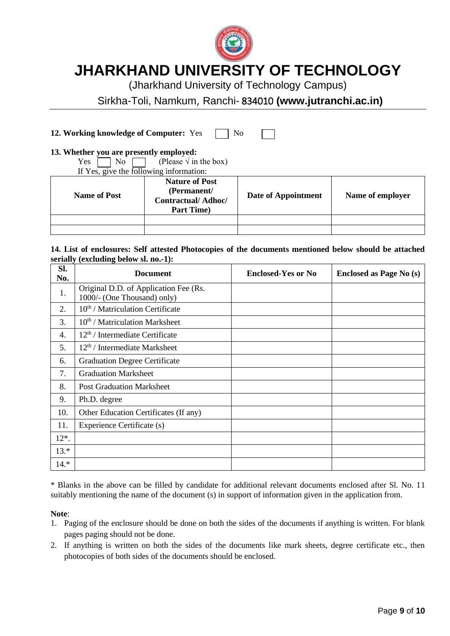

(Jharkhand University of Technology Campus)

Sirkha-Toli, Namkum, Ranchi- 834010 **(www.jutranchi.ac.in)**

**12. Working knowledge of Computer:** Yes  $\Box$  No

#### **13. Whether you are presently employed:**

Yes  $\Box$  No  $\Box$  (Please  $\sqrt{ }$  in the box)<br>If Yes, give the following information:

|  |  | If Yes, give the following information: |  |  |
|--|--|-----------------------------------------|--|--|
|  |  |                                         |  |  |

| <b>Name of Post</b> | <b>Nature of Post</b><br>(Permanent/<br><b>Contractual/Adhoc/</b><br><b>Part Time</b> ) | Date of Appointment | Name of employer |
|---------------------|-----------------------------------------------------------------------------------------|---------------------|------------------|
|                     |                                                                                         |                     |                  |
|                     |                                                                                         |                     |                  |

#### **14. List of enclosures: Self attested Photocopies of the documents mentioned below should be attached serially (excluding below sl. no.-1):**

| Sl.<br>No. | <b>Document</b>                                                      | <b>Enclosed-Yes or No</b> | <b>Enclosed as Page No (s)</b> |
|------------|----------------------------------------------------------------------|---------------------------|--------------------------------|
| 1.         | Original D.D. of Application Fee (Rs.<br>1000/- (One Thousand) only) |                           |                                |
| 2.         | $10th$ / Matriculation Certificate                                   |                           |                                |
| 3.         | $10th$ / Matriculation Marksheet                                     |                           |                                |
| 4.         | 12 <sup>th</sup> / Intermediate Certificate                          |                           |                                |
| 5.         | $12th$ / Intermediate Marksheet                                      |                           |                                |
| 6.         | <b>Graduation Degree Certificate</b>                                 |                           |                                |
| 7.         | <b>Graduation Marksheet</b>                                          |                           |                                |
| 8.         | <b>Post Graduation Marksheet</b>                                     |                           |                                |
| 9.         | Ph.D. degree                                                         |                           |                                |
| 10.        | Other Education Certificates (If any)                                |                           |                                |
| 11.        | Experience Certificate (s)                                           |                           |                                |
| $12^*$ .   |                                                                      |                           |                                |
| $13.*$     |                                                                      |                           |                                |
| $14.*$     |                                                                      |                           |                                |

\* Blanks in the above can be filled by candidate for additional relevant documents enclosed after Sl. No. 11 suitably mentioning the name of the document (s) in support of information given in the application from.

#### **Note**:

- 1. Paging of the enclosure should be done on both the sides of the documents if anything is written. For blank pages paging should not be done.
- 2. If anything is written on both the sides of the documents like mark sheets, degree certificate etc., then photocopies of both sides of the documents should be enclosed.